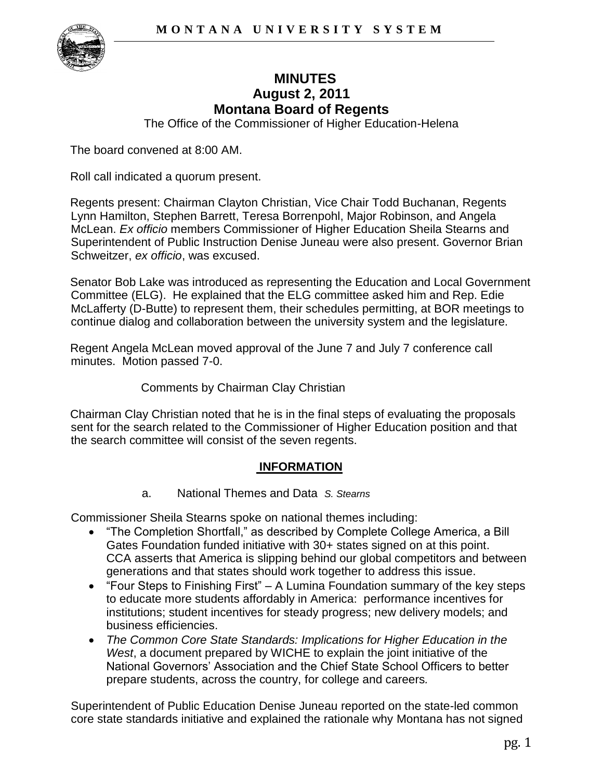

# **MINUTES August 2, 2011 Montana Board of Regents**

The Office of the Commissioner of Higher Education-Helena

The board convened at 8:00 AM.

Roll call indicated a quorum present.

Regents present: Chairman Clayton Christian, Vice Chair Todd Buchanan, Regents Lynn Hamilton, Stephen Barrett, Teresa Borrenpohl, Major Robinson, and Angela McLean. *Ex officio* members Commissioner of Higher Education Sheila Stearns and Superintendent of Public Instruction Denise Juneau were also present. Governor Brian Schweitzer, *ex officio*, was excused.

Senator Bob Lake was introduced as representing the Education and Local Government Committee (ELG). He explained that the ELG committee asked him and Rep. Edie McLafferty (D-Butte) to represent them, their schedules permitting, at BOR meetings to continue dialog and collaboration between the university system and the legislature.

Regent Angela McLean moved approval of the June 7 and July 7 conference call minutes. Motion passed 7-0.

Comments by Chairman Clay Christian

Chairman Clay Christian noted that he is in the final steps of evaluating the proposals sent for the search related to the Commissioner of Higher Education position and that the search committee will consist of the seven regents.

### **INFORMATION**

a. National Themes and Data *S. Stearns* 

Commissioner Sheila Stearns spoke on national themes including:

- "The Completion Shortfall," as described by Complete College America, a Bill Gates Foundation funded initiative with 30+ states signed on at this point. CCA asserts that America is slipping behind our global competitors and between generations and that states should work together to address this issue.
- $\bullet$  "Four Steps to Finishing First" A Lumina Foundation summary of the key steps to educate more students affordably in America: performance incentives for institutions; student incentives for steady progress; new delivery models; and business efficiencies.
- *The Common Core State Standards: Implications for Higher Education in the West*, a document prepared by WICHE to explain the joint initiative of the National Governors' Association and the Chief State School Officers to better prepare students, across the country, for college and careers*.*

Superintendent of Public Education Denise Juneau reported on the state-led common core state standards initiative and explained the rationale why Montana has not signed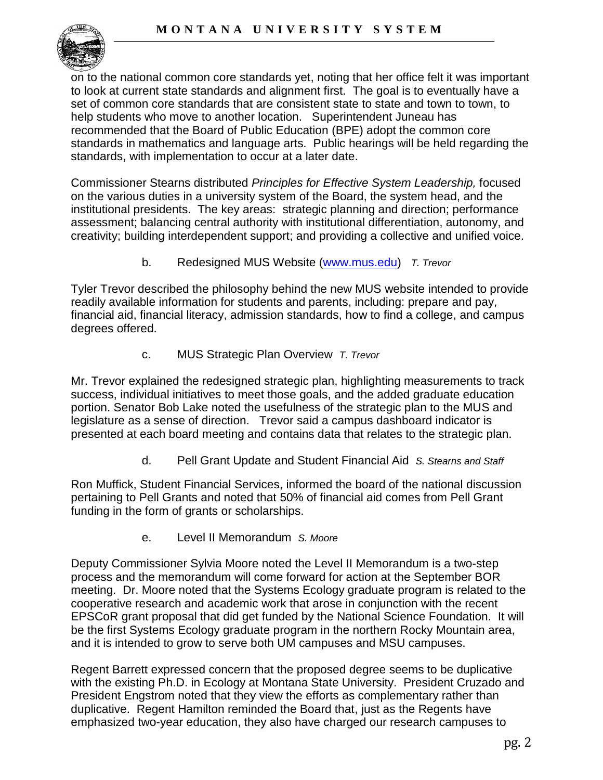

on to the national common core standards yet, noting that her office felt it was important to look at current state standards and alignment first. The goal is to eventually have a set of common core standards that are consistent state to state and town to town, to help students who move to another location. Superintendent Juneau has recommended that the Board of Public Education (BPE) adopt the common core standards in mathematics and language arts. Public hearings will be held regarding the standards, with implementation to occur at a later date.

Commissioner Stearns distributed *Principles for Effective System Leadership,* focused on the various duties in a university system of the Board, the system head, and the institutional presidents. The key areas: strategic planning and direction; performance assessment; balancing central authority with institutional differentiation, autonomy, and creativity; building interdependent support; and providing a collective and unified voice.

b. Redesigned MUS Website [\(www.mus.edu\)](http://www.mus.edu/) *T. Trevor*

Tyler Trevor described the philosophy behind the new MUS website intended to provide readily available information for students and parents, including: prepare and pay, financial aid, financial literacy, admission standards, how to find a college, and campus degrees offered.

c. MUS Strategic Plan Overview *T. Trevor*

Mr. Trevor explained the redesigned strategic plan, highlighting measurements to track success, individual initiatives to meet those goals, and the added graduate education portion. Senator Bob Lake noted the usefulness of the strategic plan to the MUS and legislature as a sense of direction. Trevor said a campus dashboard indicator is presented at each board meeting and contains data that relates to the strategic plan.

d. Pell Grant Update and Student Financial Aid *S. Stearns and Staff*

Ron Muffick, Student Financial Services, informed the board of the national discussion pertaining to Pell Grants and noted that 50% of financial aid comes from Pell Grant funding in the form of grants or scholarships.

e. Level II Memorandum *S. Moore*

Deputy Commissioner Sylvia Moore noted the Level II Memorandum is a two-step process and the memorandum will come forward for action at the September BOR meeting. Dr. Moore noted that the Systems Ecology graduate program is related to the cooperative research and academic work that arose in conjunction with the recent EPSCoR grant proposal that did get funded by the National Science Foundation. It will be the first Systems Ecology graduate program in the northern Rocky Mountain area, and it is intended to grow to serve both UM campuses and MSU campuses.

Regent Barrett expressed concern that the proposed degree seems to be duplicative with the existing Ph.D. in Ecology at Montana State University. President Cruzado and President Engstrom noted that they view the efforts as complementary rather than duplicative. Regent Hamilton reminded the Board that, just as the Regents have emphasized two-year education, they also have charged our research campuses to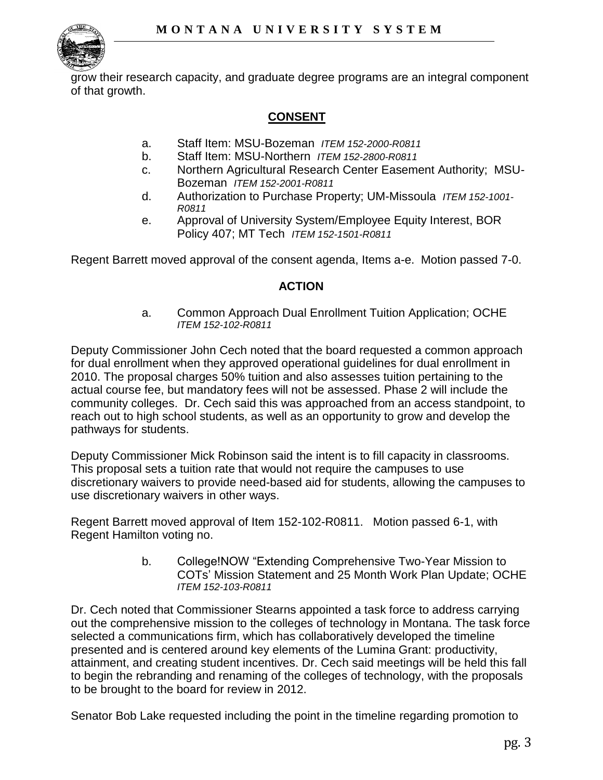

grow their research capacity, and graduate degree programs are an integral component of that growth.

## **CONSENT**

- a. Staff Item: MSU-Bozeman *ITEM 152-2000-R0811*
- b. Staff Item: MSU-Northern *ITEM 152-2800-R0811*
- c. Northern Agricultural Research Center Easement Authority; MSU-Bozeman *ITEM 152-2001-R0811*
- d. Authorization to Purchase Property; UM-Missoula *ITEM 152-1001- R0811*
- e. Approval of University System/Employee Equity Interest, BOR Policy 407; MT Tech *ITEM 152-1501-R0811*

Regent Barrett moved approval of the consent agenda, Items a-e. Motion passed 7-0.

### **ACTION**

a. Common Approach Dual Enrollment Tuition Application; OCHE *ITEM 152-102-R0811* 

Deputy Commissioner John Cech noted that the board requested a common approach for dual enrollment when they approved operational guidelines for dual enrollment in 2010. The proposal charges 50% tuition and also assesses tuition pertaining to the actual course fee, but mandatory fees will not be assessed. Phase 2 will include the community colleges. Dr. Cech said this was approached from an access standpoint, to reach out to high school students, as well as an opportunity to grow and develop the pathways for students.

Deputy Commissioner Mick Robinson said the intent is to fill capacity in classrooms. This proposal sets a tuition rate that would not require the campuses to use discretionary waivers to provide need-based aid for students, allowing the campuses to use discretionary waivers in other ways.

Regent Barrett moved approval of Item 152-102-R0811. Motion passed 6-1, with Regent Hamilton voting no.

> b. College!NOW "Extending Comprehensive Two-Year Mission to COTs' Mission Statement and 25 Month Work Plan Update; OCHE *ITEM 152-103-R0811*

Dr. Cech noted that Commissioner Stearns appointed a task force to address carrying out the comprehensive mission to the colleges of technology in Montana. The task force selected a communications firm, which has collaboratively developed the timeline presented and is centered around key elements of the Lumina Grant: productivity, attainment, and creating student incentives. Dr. Cech said meetings will be held this fall to begin the rebranding and renaming of the colleges of technology, with the proposals to be brought to the board for review in 2012.

Senator Bob Lake requested including the point in the timeline regarding promotion to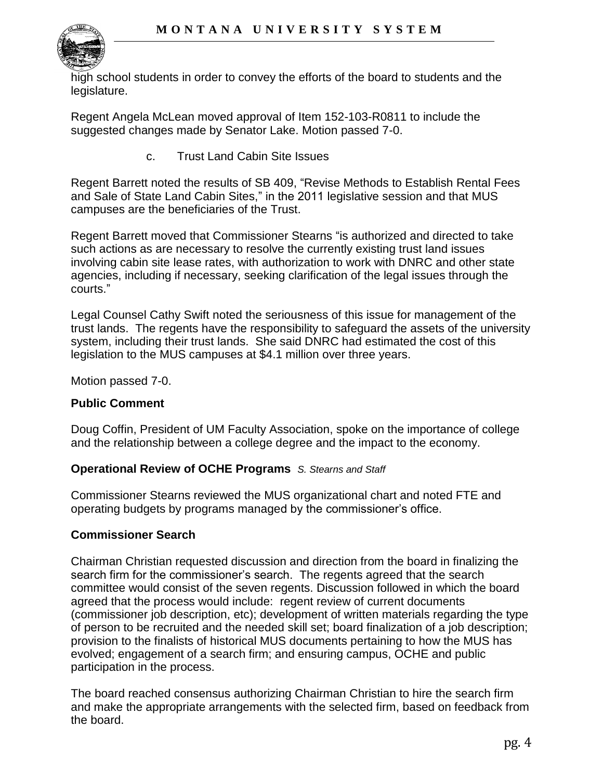

high school students in order to convey the efforts of the board to students and the legislature.

Regent Angela McLean moved approval of Item 152-103-R0811 to include the suggested changes made by Senator Lake. Motion passed 7-0.

c. Trust Land Cabin Site Issues

Regent Barrett noted the results of SB 409, "Revise Methods to Establish Rental Fees and Sale of State Land Cabin Sites," in the 2011 legislative session and that MUS campuses are the beneficiaries of the Trust.

Regent Barrett moved that Commissioner Stearns "is authorized and directed to take such actions as are necessary to resolve the currently existing trust land issues involving cabin site lease rates, with authorization to work with DNRC and other state agencies, including if necessary, seeking clarification of the legal issues through the courts."

Legal Counsel Cathy Swift noted the seriousness of this issue for management of the trust lands. The regents have the responsibility to safeguard the assets of the university system, including their trust lands. She said DNRC had estimated the cost of this legislation to the MUS campuses at \$4.1 million over three years.

Motion passed 7-0.

#### **Public Comment**

Doug Coffin, President of UM Faculty Association, spoke on the importance of college and the relationship between a college degree and the impact to the economy.

#### **Operational Review of OCHE Programs** *S. Stearns and Staff*

Commissioner Stearns reviewed the MUS organizational chart and noted FTE and operating budgets by programs managed by the commissioner's office.

### **Commissioner Search**

Chairman Christian requested discussion and direction from the board in finalizing the search firm for the commissioner's search. The regents agreed that the search committee would consist of the seven regents. Discussion followed in which the board agreed that the process would include: regent review of current documents (commissioner job description, etc); development of written materials regarding the type of person to be recruited and the needed skill set; board finalization of a job description; provision to the finalists of historical MUS documents pertaining to how the MUS has evolved; engagement of a search firm; and ensuring campus, OCHE and public participation in the process.

The board reached consensus authorizing Chairman Christian to hire the search firm and make the appropriate arrangements with the selected firm, based on feedback from the board.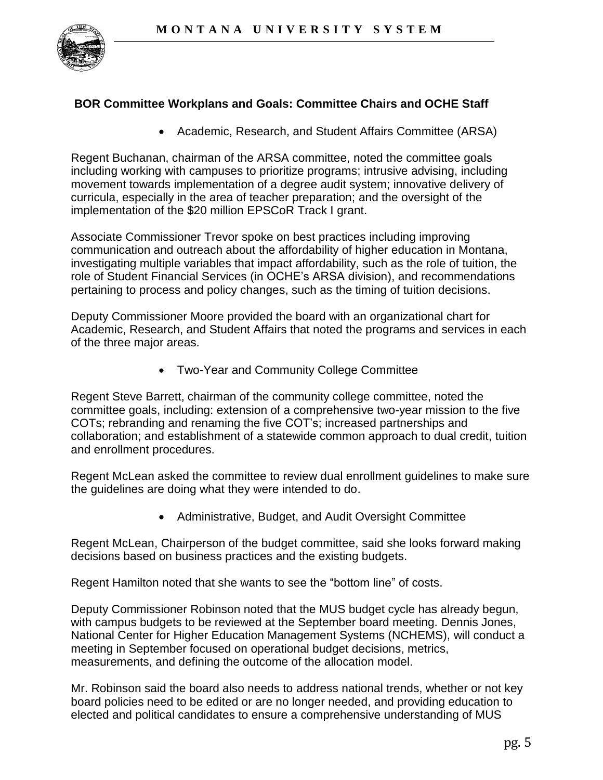

### **BOR Committee Workplans and Goals: Committee Chairs and OCHE Staff**

Academic, Research, and Student Affairs Committee (ARSA)

Regent Buchanan, chairman of the ARSA committee, noted the committee goals including working with campuses to prioritize programs; intrusive advising, including movement towards implementation of a degree audit system; innovative delivery of curricula, especially in the area of teacher preparation; and the oversight of the implementation of the \$20 million EPSCoR Track I grant.

Associate Commissioner Trevor spoke on best practices including improving communication and outreach about the affordability of higher education in Montana, investigating multiple variables that impact affordability, such as the role of tuition, the role of Student Financial Services (in OCHE's ARSA division), and recommendations pertaining to process and policy changes, such as the timing of tuition decisions.

Deputy Commissioner Moore provided the board with an organizational chart for Academic, Research, and Student Affairs that noted the programs and services in each of the three major areas.

Two-Year and Community College Committee

Regent Steve Barrett, chairman of the community college committee, noted the committee goals, including: extension of a comprehensive two-year mission to the five COTs; rebranding and renaming the five COT's; increased partnerships and collaboration; and establishment of a statewide common approach to dual credit, tuition and enrollment procedures.

Regent McLean asked the committee to review dual enrollment guidelines to make sure the guidelines are doing what they were intended to do.

Administrative, Budget, and Audit Oversight Committee

Regent McLean, Chairperson of the budget committee, said she looks forward making decisions based on business practices and the existing budgets.

Regent Hamilton noted that she wants to see the "bottom line" of costs.

Deputy Commissioner Robinson noted that the MUS budget cycle has already begun, with campus budgets to be reviewed at the September board meeting. Dennis Jones, National Center for Higher Education Management Systems (NCHEMS), will conduct a meeting in September focused on operational budget decisions, metrics, measurements, and defining the outcome of the allocation model.

Mr. Robinson said the board also needs to address national trends, whether or not key board policies need to be edited or are no longer needed, and providing education to elected and political candidates to ensure a comprehensive understanding of MUS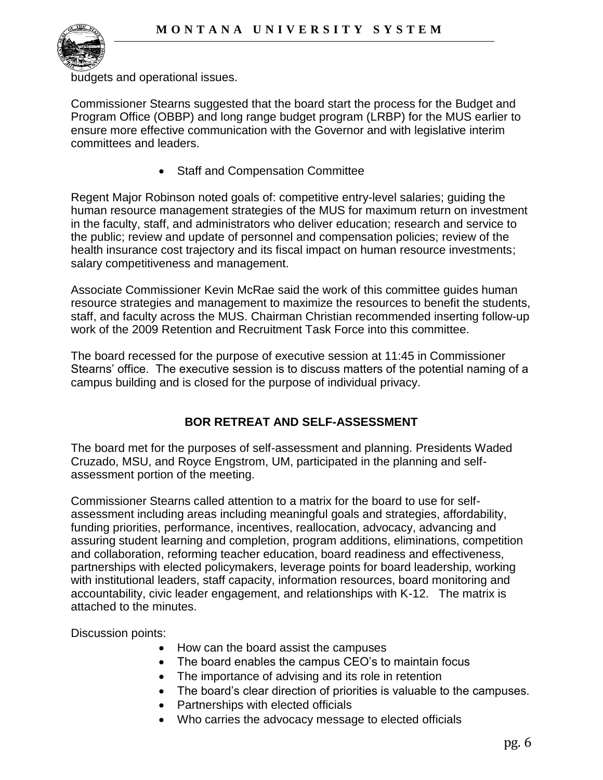

budgets and operational issues.

Commissioner Stearns suggested that the board start the process for the Budget and Program Office (OBBP) and long range budget program (LRBP) for the MUS earlier to ensure more effective communication with the Governor and with legislative interim committees and leaders.

• Staff and Compensation Committee

Regent Major Robinson noted goals of: competitive entry-level salaries; guiding the human resource management strategies of the MUS for maximum return on investment in the faculty, staff, and administrators who deliver education; research and service to the public; review and update of personnel and compensation policies; review of the health insurance cost trajectory and its fiscal impact on human resource investments; salary competitiveness and management.

Associate Commissioner Kevin McRae said the work of this committee guides human resource strategies and management to maximize the resources to benefit the students, staff, and faculty across the MUS. Chairman Christian recommended inserting follow-up work of the 2009 Retention and Recruitment Task Force into this committee.

The board recessed for the purpose of executive session at 11:45 in Commissioner Stearns' office. The executive session is to discuss matters of the potential naming of a campus building and is closed for the purpose of individual privacy.

# **BOR RETREAT AND SELF-ASSESSMENT**

The board met for the purposes of self-assessment and planning. Presidents Waded Cruzado, MSU, and Royce Engstrom, UM, participated in the planning and selfassessment portion of the meeting.

Commissioner Stearns called attention to a matrix for the board to use for selfassessment including areas including meaningful goals and strategies, affordability, funding priorities, performance, incentives, reallocation, advocacy, advancing and assuring student learning and completion, program additions, eliminations, competition and collaboration, reforming teacher education, board readiness and effectiveness, partnerships with elected policymakers, leverage points for board leadership, working with institutional leaders, staff capacity, information resources, board monitoring and accountability, civic leader engagement, and relationships with K-12. The matrix is attached to the minutes.

Discussion points:

- How can the board assist the campuses
- The board enables the campus CEO's to maintain focus
- The importance of advising and its role in retention
- The board's clear direction of priorities is valuable to the campuses.
- Partnerships with elected officials
- Who carries the advocacy message to elected officials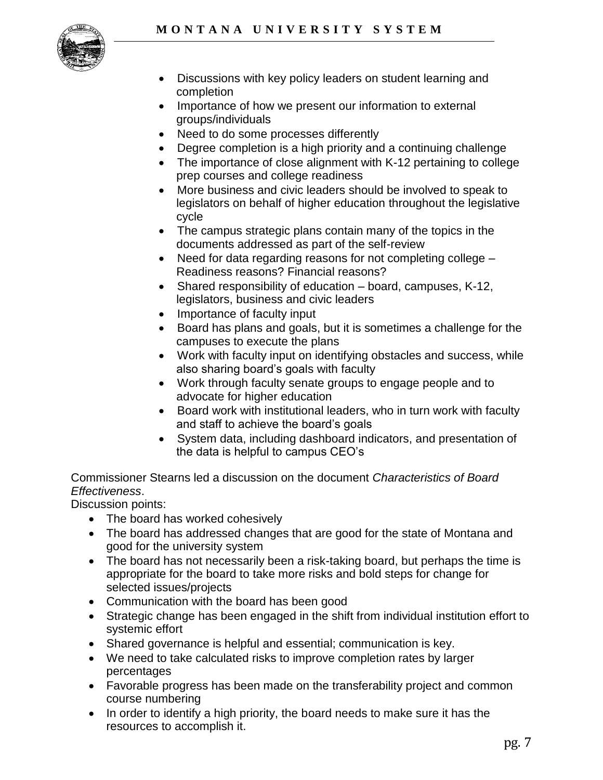

- Discussions with key policy leaders on student learning and completion
- Importance of how we present our information to external groups/individuals
- Need to do some processes differently
- Degree completion is a high priority and a continuing challenge
- The importance of close alignment with K-12 pertaining to college prep courses and college readiness
- More business and civic leaders should be involved to speak to legislators on behalf of higher education throughout the legislative cycle
- The campus strategic plans contain many of the topics in the documents addressed as part of the self-review
- Need for data regarding reasons for not completing college Readiness reasons? Financial reasons?
- Shared responsibility of education board, campuses, K-12, legislators, business and civic leaders
- Importance of faculty input
- Board has plans and goals, but it is sometimes a challenge for the campuses to execute the plans
- Work with faculty input on identifying obstacles and success, while also sharing board's goals with faculty
- Work through faculty senate groups to engage people and to advocate for higher education
- Board work with institutional leaders, who in turn work with faculty and staff to achieve the board's goals
- System data, including dashboard indicators, and presentation of the data is helpful to campus CEO's

Commissioner Stearns led a discussion on the document *Characteristics of Board Effectiveness*.

Discussion points:

- The board has worked cohesively
- The board has addressed changes that are good for the state of Montana and good for the university system
- The board has not necessarily been a risk-taking board, but perhaps the time is appropriate for the board to take more risks and bold steps for change for selected issues/projects
- Communication with the board has been good
- Strategic change has been engaged in the shift from individual institution effort to systemic effort
- Shared governance is helpful and essential; communication is key.
- We need to take calculated risks to improve completion rates by larger percentages
- Favorable progress has been made on the transferability project and common course numbering
- In order to identify a high priority, the board needs to make sure it has the resources to accomplish it.